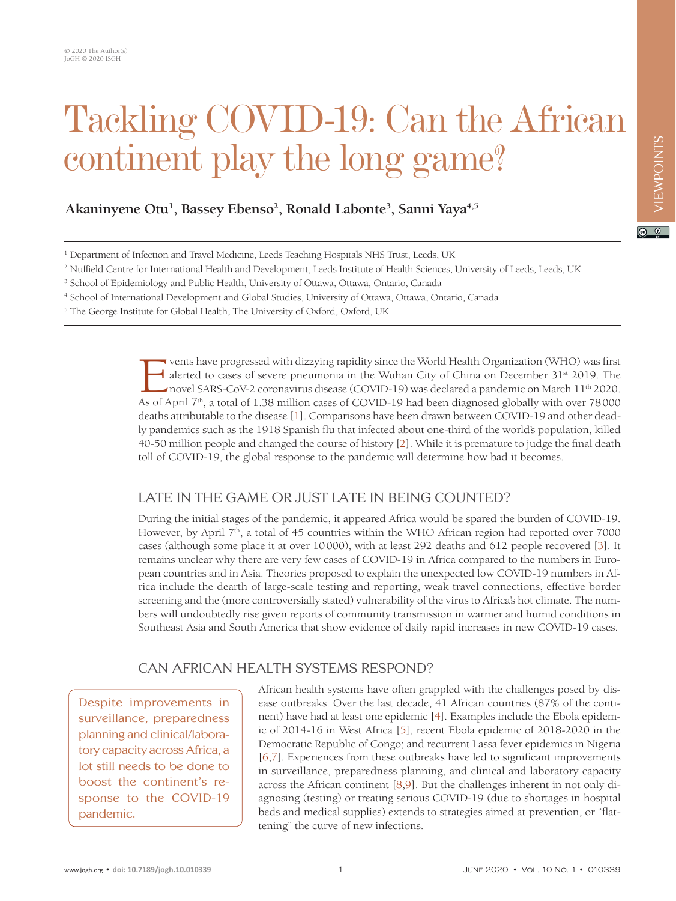# Tackling COVID-19: Can the African continent play the long game?

# **Akaninyene Otu1 , Bassey Ebenso2 , Ronald Labonte3 , Sanni Yaya4,5**

 $\boxed{6}$  0

- 1 Department of Infection and Travel Medicine, Leeds Teaching Hospitals NHS Trust, Leeds, UK
- 2 Nuffield Centre for International Health and Development, Leeds Institute of Health Sciences, University of Leeds, Leeds, UK
- <sup>3</sup> School of Epidemiology and Public Health, University of Ottawa, Ottawa, Ontario, Canada
- 4 School of International Development and Global Studies, University of Ottawa, Ottawa, Ontario, Canada
- <sup>5</sup> The George Institute for Global Health, The University of Oxford, Oxford, UK

vents have progressed with dizzying rapidity since the World Health Organization (WHO) was first<br>alerted to cases of severe pneumonia in the Wuhan City of China on December 31<sup>st</sup> 2019. The<br>novel SARS-CoV-2 coronavirus di derted to cases of severe pneumonia in the Wuhan City of China on December  $31<sup>st</sup>$  2019. The novel SARS-CoV-2 coronavirus disease (COVID-19) was declared a pandemic on March 11<sup>th</sup> 2020. As of April 7th, a total of 1.38 million cases of COVID-19 had been diagnosed globally with over 78000 deaths attributable to the disease [[1](#page-3-0)]. Comparisons have been drawn between COVID-19 and other deadly pandemics such as the 1918 Spanish flu that infected about one-third of the world's population, killed 40-50 million people and changed the course of history [\[2](#page-3-1)]. While it is premature to judge the final death toll of COVID-19, the global response to the pandemic will determine how bad it becomes.

## LATE IN THE GAME OR JUST LATE IN BEING COUNTED?

During the initial stages of the pandemic, it appeared Africa would be spared the burden of COVID-19. However, by April 7<sup>th</sup>, a total of 45 countries within the WHO African region had reported over 7000 cases (although some place it at over 10000), with at least 292 deaths and 612 people recovered [[3\]](#page-3-2). It remains unclear why there are very few cases of COVID-19 in Africa compared to the numbers in European countries and in Asia. Theories proposed to explain the unexpected low COVID-19 numbers in Africa include the dearth of large-scale testing and reporting, weak travel connections, effective border screening and the (more controversially stated) vulnerability of the virus to Africa's hot climate. The numbers will undoubtedly rise given reports of community transmission in warmer and humid conditions in Southeast Asia and South America that show evidence of daily rapid increases in new COVID-19 cases.

## CAN AFRICAN HEALTH SYSTEMS RESPOND?

Despite improvements in surveillance, preparedness planning and clinical/laboratory capacity across Africa, a lot still needs to be done to boost the continent's response to the COVID-19 pandemic.

African health systems have often grappled with the challenges posed by disease outbreaks. Over the last decade, 41 African countries (87% of the continent) have had at least one epidemic [\[4](#page-3-3)]. Examples include the Ebola epidemic of 2014-16 in West Africa [[5\]](#page-3-4), recent Ebola epidemic of 2018-2020 in the Democratic Republic of Congo; and recurrent Lassa fever epidemics in Nigeria [\[6](#page-4-0)[,7](#page-4-1)]. Experiences from these outbreaks have led to significant improvements in surveillance, preparedness planning, and clinical and laboratory capacity across the African continent [\[8,](#page-4-2)[9\]](#page-4-3). But the challenges inherent in not only diagnosing (testing) or treating serious COVID-19 (due to shortages in hospital beds and medical supplies) extends to strategies aimed at prevention, or "flattening" the curve of new infections.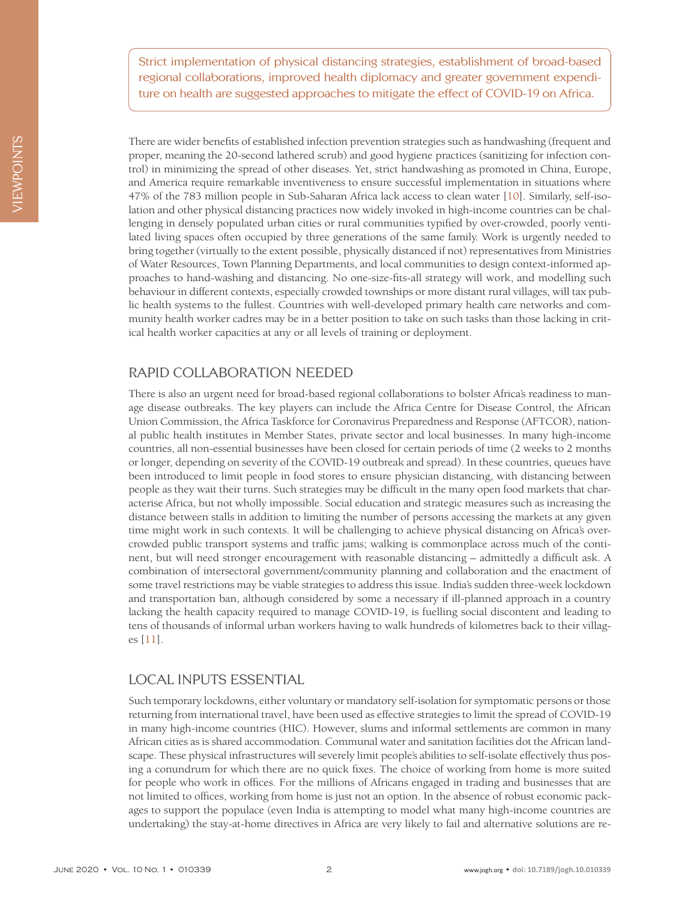Strict implementation of physical distancing strategies, establishment of broad-based regional collaborations, improved health diplomacy and greater government expenditure on health are suggested approaches to mitigate the effect of COVID-19 on Africa.

There are wider benefits of established infection prevention strategies such as handwashing (frequent and proper, meaning the 20-second lathered scrub) and good hygiene practices (sanitizing for infection control) in minimizing the spread of other diseases. Yet, strict handwashing as promoted in China, Europe, and America require remarkable inventiveness to ensure successful implementation in situations where 47% of the 783 million people in Sub-Saharan Africa lack access to clean water [[10](#page-4-4)]. Similarly, self-isolation and other physical distancing practices now widely invoked in high-income countries can be challenging in densely populated urban cities or rural communities typified by over-crowded, poorly ventilated living spaces often occupied by three generations of the same family. Work is urgently needed to bring together (virtually to the extent possible, physically distanced if not) representatives from Ministries of Water Resources, Town Planning Departments, and local communities to design context-informed approaches to hand-washing and distancing. No one-size-fits-all strategy will work, and modelling such behaviour in different contexts, especially crowded townships or more distant rural villages, will tax public health systems to the fullest. Countries with well-developed primary health care networks and community health worker cadres may be in a better position to take on such tasks than those lacking in critical health worker capacities at any or all levels of training or deployment.

### RAPID COLLABORATION NEEDED

There is also an urgent need for broad-based regional collaborations to bolster Africa's readiness to manage disease outbreaks. The key players can include the Africa Centre for Disease Control, the African Union Commission, the Africa Taskforce for Coronavirus Preparedness and Response (AFTCOR), national public health institutes in Member States, private sector and local businesses. In many high-income countries, all non-essential businesses have been closed for certain periods of time (2 weeks to 2 months or longer, depending on severity of the COVID-19 outbreak and spread). In these countries, queues have been introduced to limit people in food stores to ensure physician distancing, with distancing between people as they wait their turns. Such strategies may be difficult in the many open food markets that characterise Africa, but not wholly impossible. Social education and strategic measures such as increasing the distance between stalls in addition to limiting the number of persons accessing the markets at any given time might work in such contexts. It will be challenging to achieve physical distancing on Africa's overcrowded public transport systems and traffic jams; walking is commonplace across much of the continent, but will need stronger encouragement with reasonable distancing – admittedly a difficult ask. A combination of intersectoral government/community planning and collaboration and the enactment of some travel restrictions may be viable strategies to address this issue. India's sudden three-week lockdown and transportation ban, although considered by some a necessary if ill-planned approach in a country lacking the health capacity required to manage COVID-19, is fuelling social discontent and leading to tens of thousands of informal urban workers having to walk hundreds of kilometres back to their villages [\[11](#page-4-5)].

## LOCAL INPUTS ESSENTIAL

Such temporary lockdowns, either voluntary or mandatory self-isolation for symptomatic persons or those returning from international travel, have been used as effective strategies to limit the spread of COVID-19 in many high-income countries (HIC). However, slums and informal settlements are common in many African cities as is shared accommodation. Communal water and sanitation facilities dot the African landscape. These physical infrastructures will severely limit people's abilities to self-isolate effectively thus posing a conundrum for which there are no quick fixes. The choice of working from home is more suited for people who work in offices. For the millions of Africans engaged in trading and businesses that are not limited to offices, working from home is just not an option. In the absence of robust economic packages to support the populace (even India is attempting to model what many high-income countries are undertaking) the stay-at-home directives in Africa are very likely to fail and alternative solutions are re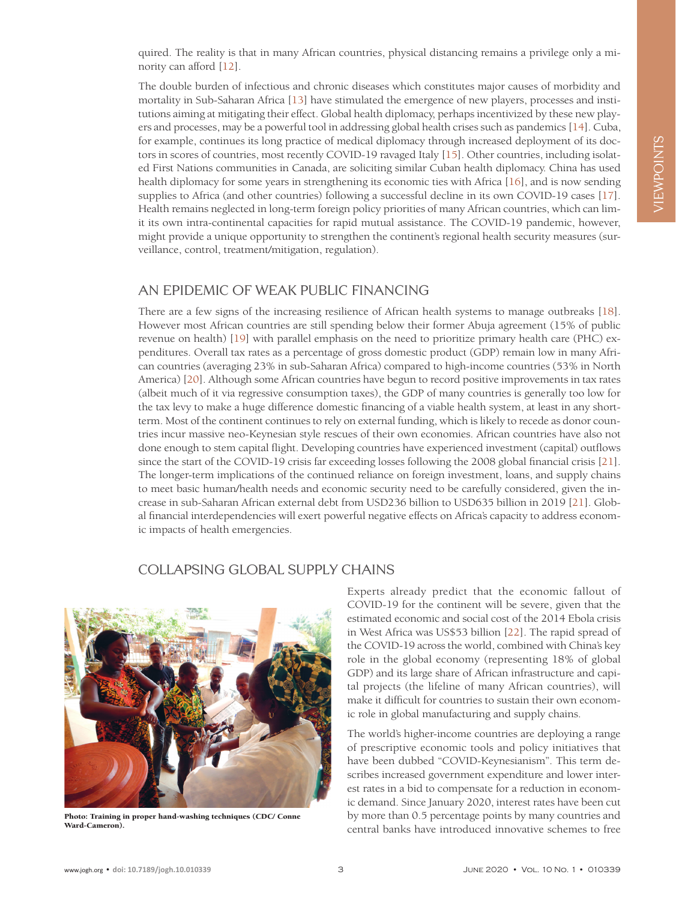quired. The reality is that in many African countries, physical distancing remains a privilege only a minority can afford [[12\]](#page-4-6).

The double burden of infectious and chronic diseases which constitutes major causes of morbidity and mortality in Sub-Saharan Africa [\[13\]](#page-4-7) have stimulated the emergence of new players, processes and institutions aiming at mitigating their effect. Global health diplomacy, perhaps incentivized by these new players and processes, may be a powerful tool in addressing global health crises such as pandemics [\[14\]](#page-4-8). Cuba, for example, continues its long practice of medical diplomacy through increased deployment of its doctors in scores of countries, most recently COVID-19 ravaged Italy [\[15](#page-4-9)]. Other countries, including isolated First Nations communities in Canada, are soliciting similar Cuban health diplomacy. China has used health diplomacy for some years in strengthening its economic ties with Africa [\[16\]](#page-4-10), and is now sending supplies to Africa (and other countries) following a successful decline in its own COVID-19 cases [\[17](#page-4-11)]. Health remains neglected in long-term foreign policy priorities of many African countries, which can limit its own intra-continental capacities for rapid mutual assistance. The COVID-19 pandemic, however, might provide a unique opportunity to strengthen the continent's regional health security measures (surveillance, control, treatment/mitigation, regulation).

#### AN EPIDEMIC OF WEAK PUBLIC FINANCING

There are a few signs of the increasing resilience of African health systems to manage outbreaks [[18](#page-4-12)]. However most African countries are still spending below their former Abuja agreement (15% of public revenue on health) [[19\]](#page-4-13) with parallel emphasis on the need to prioritize primary health care (PHC) expenditures. Overall tax rates as a percentage of gross domestic product (GDP) remain low in many African countries (averaging 23% in sub-Saharan Africa) compared to high-income countries (53% in North America) [[20](#page-4-14)]. Although some African countries have begun to record positive improvements in tax rates (albeit much of it via regressive consumption taxes), the GDP of many countries is generally too low for the tax levy to make a huge difference domestic financing of a viable health system, at least in any shortterm. Most of the continent continues to rely on external funding, which is likely to recede as donor countries incur massive neo-Keynesian style rescues of their own economies. African countries have also not done enough to stem capital flight. Developing countries have experienced investment (capital) outflows since the start of the COVID-19 crisis far exceeding losses following the 2008 global financial crisis [[21\]](#page-4-15). The longer-term implications of the continued reliance on foreign investment, loans, and supply chains to meet basic human/health needs and economic security need to be carefully considered, given the increase in sub-Saharan African external debt from USD236 billion to USD635 billion in 2019 [\[21](#page-4-15)]. Global financial interdependencies will exert powerful negative effects on Africa's capacity to address economic impacts of health emergencies.

#### COLLAPSING GLOBAL SUPPLY CHAINS



Photo: Training in proper hand-washing techniques (CDC/ Conne Ward-Cameron).

Experts already predict that the economic fallout of COVID-19 for the continent will be severe, given that the estimated economic and social cost of the 2014 Ebola crisis in West Africa was US\$53 billion [\[22](#page-4-16)]. The rapid spread of the COVID-19 across the world, combined with China's key role in the global economy (representing 18% of global GDP) and its large share of African infrastructure and capital projects (the lifeline of many African countries), will make it difficult for countries to sustain their own economic role in global manufacturing and supply chains.

The world's higher-income countries are deploying a range of prescriptive economic tools and policy initiatives that have been dubbed "COVID-Keynesianism". This term describes increased government expenditure and lower interest rates in a bid to compensate for a reduction in economic demand. Since January 2020, interest rates have been cut by more than 0.5 percentage points by many countries and central banks have introduced innovative schemes to free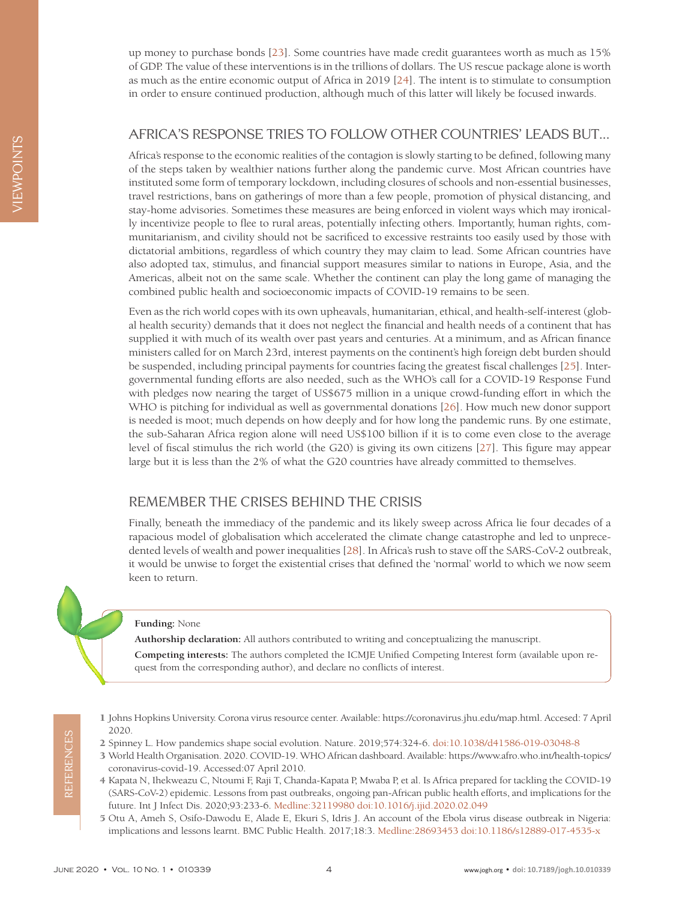## AFRICA'S RESPONSE TRIES TO FOLLOW OTHER COUNTRIES' LEADS BUT...

Africa's response to the economic realities of the contagion is slowly starting to be defined, following many of the steps taken by wealthier nations further along the pandemic curve. Most African countries have instituted some form of temporary lockdown, including closures of schools and non-essential businesses, travel restrictions, bans on gatherings of more than a few people, promotion of physical distancing, and stay-home advisories. Sometimes these measures are being enforced in violent ways which may ironically incentivize people to flee to rural areas, potentially infecting others. Importantly, human rights, communitarianism, and civility should not be sacrificed to excessive restraints too easily used by those with dictatorial ambitions, regardless of which country they may claim to lead. Some African countries have also adopted tax, stimulus, and financial support measures similar to nations in Europe, Asia, and the Americas, albeit not on the same scale. Whether the continent can play the long game of managing the combined public health and socioeconomic impacts of COVID-19 remains to be seen.

Even as the rich world copes with its own upheavals, humanitarian, ethical, and health-self-interest (global health security) demands that it does not neglect the financial and health needs of a continent that has supplied it with much of its wealth over past years and centuries. At a minimum, and as African finance ministers called for on March 23rd, interest payments on the continent's high foreign debt burden should be suspended, including principal payments for countries facing the greatest fiscal challenges [[25\]](#page-4-19). Intergovernmental funding efforts are also needed, such as the WHO's call for a COVID-19 Response Fund with pledges now nearing the target of US\$675 million in a unique crowd-funding effort in which the WHO is pitching for individual as well as governmental donations [\[26\]](#page-4-20). How much new donor support is needed is moot; much depends on how deeply and for how long the pandemic runs. By one estimate, the sub-Saharan Africa region alone will need US\$100 billion if it is to come even close to the average level of fiscal stimulus the rich world (the G20) is giving its own citizens [[27](#page-4-21)]. This figure may appear large but it is less than the 2% of what the G20 countries have already committed to themselves.

## REMEMBER THE CRISES BEHIND THE CRISIS

Finally, beneath the immediacy of the pandemic and its likely sweep across Africa lie four decades of a rapacious model of globalisation which accelerated the climate change catastrophe and led to unprecedented levels of wealth and power inequalities [[28](#page-4-22)]. In Africa's rush to stave off the SARS-CoV-2 outbreak, it would be unwise to forget the existential crises that defined the 'normal' world to which we now seem keen to return.

#### **Funding:** None

**Authorship declaration:** All authors contributed to writing and conceptualizing the manuscript.

**Competing interests:** The authors completed the ICMJE Unified Competing Interest form (available upon request from the corresponding author), and declare no conflicts of interest.

- **REFERENCES** REFERENCES
- <span id="page-3-0"></span>1 Johns Hopkins University. Corona virus resource center. Available: https://coronavirus.jhu.edu/map.html. Accesed: 7 April 2020.
- <span id="page-3-1"></span>2 Spinney L. How pandemics shape social evolution. Nature. 2019;574:324-6. [doi:10.1038/d41586-019-03048-8](https://doi.org/10.1038/d41586-019-03048-8)
- <span id="page-3-2"></span>3 World Health Organisation. 2020. COVID-19. WHO African dashboard. Available: [https://www.afro.who.int/health-topics/](https://www.afro.who.int/health-topics/coronavirus-covid-19) [coronavirus-covid-19.](https://www.afro.who.int/health-topics/coronavirus-covid-19) Accessed:07 April 2010.
- <span id="page-3-3"></span>4 Kapata N, Ihekweazu C, Ntoumi F, Raji T, Chanda-Kapata P, Mwaba P, et al. Is Africa prepared for tackling the COVID-19 (SARS-CoV-2) epidemic. Lessons from past outbreaks, ongoing pan-African public health efforts, and implications for the future. Int J Infect Dis. 2020;93:233-6. [Medline:32119980](https://www.ncbi.nlm.nih.gov/entrez/query.fcgi?cmd=Retrieve&db=PubMed&list_uids=32119980&dopt=Abstract) [doi:10.1016/j.ijid.2020.02.049](https://doi.org/10.1016/j.ijid.2020.02.049)
- <span id="page-3-4"></span>5 Otu A, Ameh S, Osifo-Dawodu E, Alade E, Ekuri S, Idris J. An account of the Ebola virus disease outbreak in Nigeria: implications and lessons learnt. BMC Public Health. 2017;18:3. [Medline:28693453](https://www.ncbi.nlm.nih.gov/entrez/query.fcgi?cmd=Retrieve&db=PubMed&list_uids=28693453&dopt=Abstract) [doi:10.1186/s12889-017-4535-x](https://doi.org/10.1186/s12889-017-4535-x)